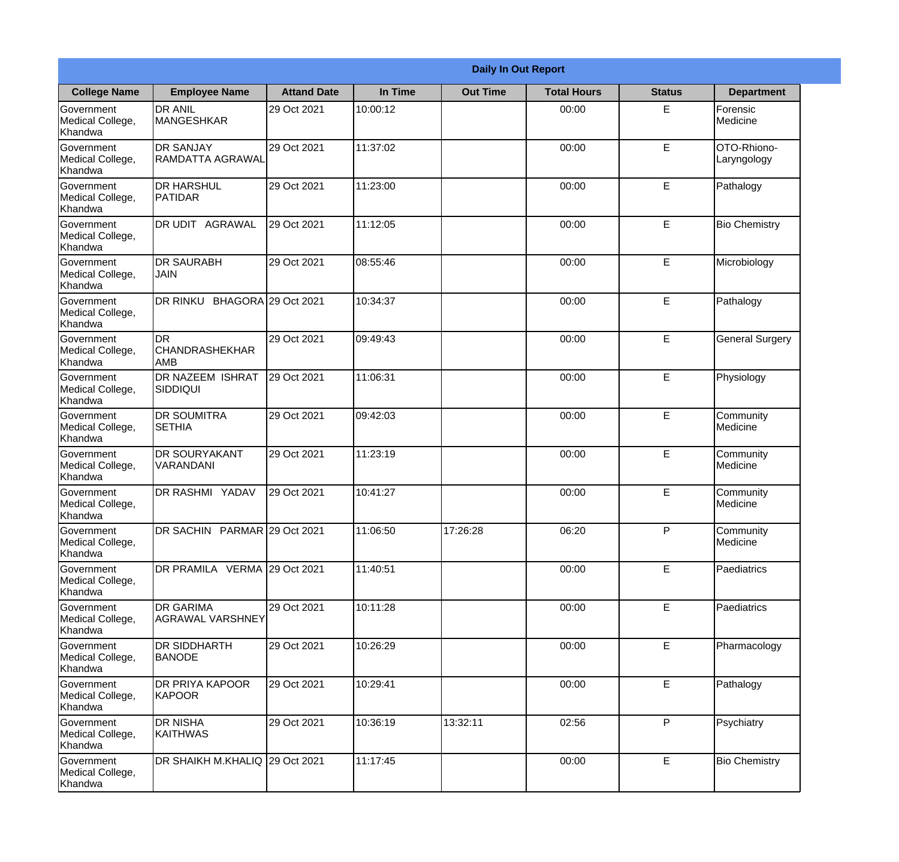|                                                  | <b>Daily In Out Report</b>                  |                     |          |                 |                    |               |                            |  |  |
|--------------------------------------------------|---------------------------------------------|---------------------|----------|-----------------|--------------------|---------------|----------------------------|--|--|
| <b>College Name</b>                              | <b>Employee Name</b>                        | <b>Attand Date</b>  | In Time  | <b>Out Time</b> | <b>Total Hours</b> | <b>Status</b> | <b>Department</b>          |  |  |
| Government<br>Medical College,<br>Khandwa        | <b>DR ANIL</b><br><b>MANGESHKAR</b>         | 29 Oct 2021         | 10:00:12 |                 | 00:00              | E             | Forensic<br>Medicine       |  |  |
| Government<br>Medical College,<br>Khandwa        | <b>DR SANJAY</b><br><b>RAMDATTA AGRAWAL</b> | 29 Oct 2021         | 11:37:02 |                 | 00:00              | E             | OTO-Rhiono-<br>Laryngology |  |  |
| Government<br>Medical College,<br>Khandwa        | <b>DR HARSHUL</b><br><b>PATIDAR</b>         | 29 Oct 2021         | 11:23:00 |                 | 00:00              | E             | Pathalogy                  |  |  |
| Government<br>Medical College,<br>Khandwa        | DR UDIT AGRAWAL                             | 29 Oct 2021         | 11:12:05 |                 | 00:00              | E             | <b>Bio Chemistry</b>       |  |  |
| <b>Government</b><br>Medical College,<br>Khandwa | <b>DR SAURABH</b><br><b>JAIN</b>            | 29 Oct 2021         | 08:55:46 |                 | 00:00              | E             | Microbiology               |  |  |
| Government<br>Medical College,<br>Khandwa        | <b>DR RINKU</b>                             | BHAGORA 29 Oct 2021 | 10:34:37 |                 | 00:00              | E             | Pathalogy                  |  |  |
| Government<br>Medical College,<br>Khandwa        | DR<br><b>CHANDRASHEKHAR</b><br>AMB          | 29 Oct 2021         | 09:49:43 |                 | 00:00              | E             | <b>General Surgery</b>     |  |  |
| Government<br>Medical College,<br>Khandwa        | <b>DR NAZEEM ISHRAT</b><br>SIDDIQUI         | 29 Oct 2021         | 11:06:31 |                 | 00:00              | E             | Physiology                 |  |  |
| Government<br>Medical College,<br>Khandwa        | <b>DR SOUMITRA</b><br><b>SETHIA</b>         | 29 Oct 2021         | 09:42:03 |                 | 00:00              | E             | Community<br>Medicine      |  |  |
| Government<br>Medical College,<br>Khandwa        | <b>DR SOURYAKANT</b><br>VARANDANI           | 29 Oct 2021         | 11:23:19 |                 | 00:00              | E             | Community<br>Medicine      |  |  |
| Government<br>Medical College,<br>Khandwa        | DR RASHMI YADAV                             | 29 Oct 2021         | 10:41:27 |                 | 00:00              | E             | Community<br>Medicine      |  |  |
| Government<br>Medical College,<br>Khandwa        | DR SACHIN PARMAR 29 Oct 2021                |                     | 11:06:50 | 17:26:28        | 06:20              | P             | Community<br>Medicine      |  |  |
| Government<br>Medical College,<br>Khandwa        | DR PRAMILA VERMA 29 Oct 2021                |                     | 11:40:51 |                 | 00:00              | E             | Paediatrics                |  |  |
| Government<br>Medical College,<br>Khandwa        | <b>DR GARIMA</b><br><b>AGRAWAL VARSHNEY</b> | 29 Oct 2021         | 10:11:28 |                 | 00:00              | E             | Paediatrics                |  |  |
| Government<br>Medical College,<br>Khandwa        | <b>DR SIDDHARTH</b><br><b>BANODE</b>        | 29 Oct 2021         | 10:26:29 |                 | 00:00              | E             | Pharmacology               |  |  |
| Government<br>Medical College,<br>Khandwa        | DR PRIYA KAPOOR<br>KAPOOR                   | 29 Oct 2021         | 10:29:41 |                 | 00:00              | E             | Pathalogy                  |  |  |
| Government<br>Medical College,<br>Khandwa        | <b>DR NISHA</b><br>KAITHWAS                 | 29 Oct 2021         | 10:36:19 | 13:32:11        | 02:56              | P             | Psychiatry                 |  |  |
| Government<br>Medical College,<br>Khandwa        | DR SHAIKH M.KHALIQ 29 Oct 2021              |                     | 11:17:45 |                 | 00:00              | E             | <b>Bio Chemistry</b>       |  |  |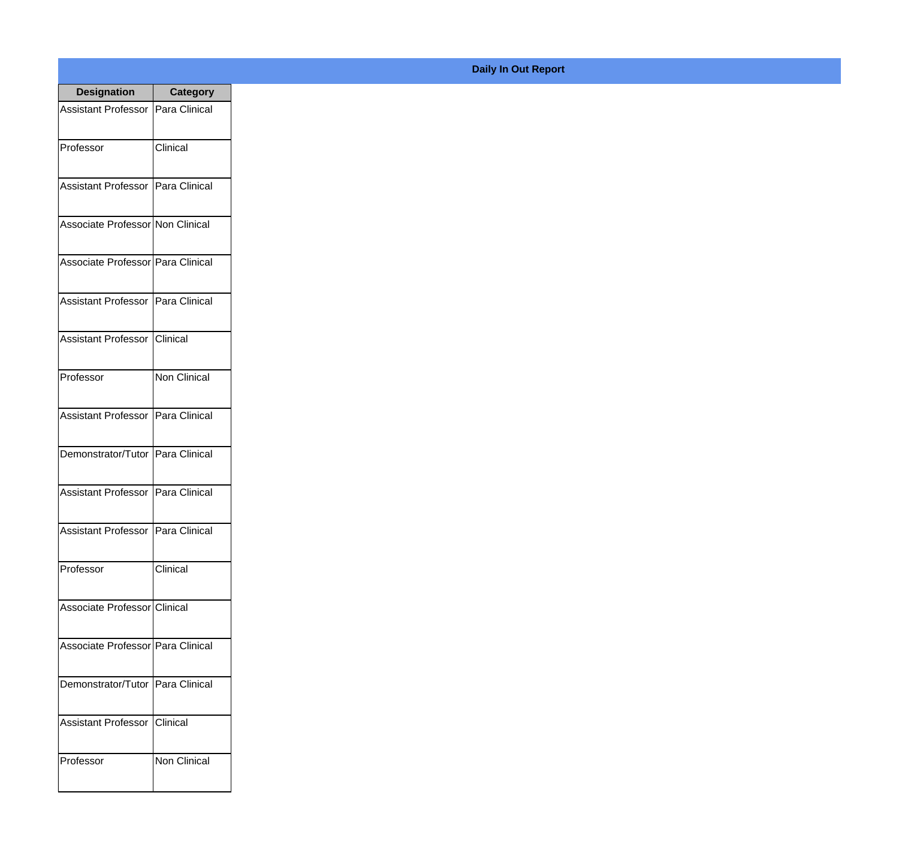| <b>Designation</b>                  | <b>Category</b>     |
|-------------------------------------|---------------------|
| Assistant Professor   Para Clinical |                     |
| Professor                           | Clinical            |
| Assistant Professor   Para Clinical |                     |
| Associate Professor Non Clinical    |                     |
| Associate Professor Para Clinical   |                     |
| Assistant Professor   Para Clinical |                     |
| Assistant Professor   Clinical      |                     |
| Professor                           | <b>Non Clinical</b> |
| Assistant Professor   Para Clinical |                     |
| Demonstrator/Tutor   Para Clinical  |                     |
| <b>Assistant Professor</b>          | Para Clinical       |
| Assistant Professor   Para Clinical |                     |
| Professor                           | Clinical            |
| Associate Professor Clinical        |                     |
| Associate Professor Para Clinical   |                     |
| Demonstrator/Tutor   Para Clinical  |                     |
| <b>Assistant Professor</b>          | Clinical            |
| Professor                           | Non Clinical        |

## **Daily In Out Report**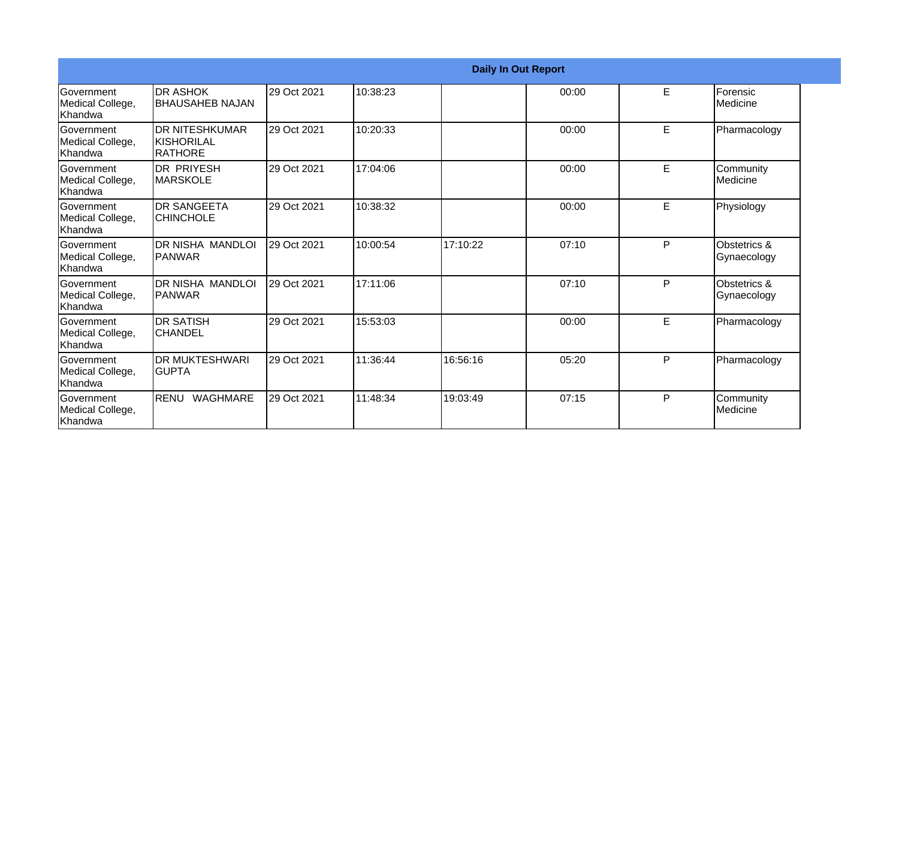|                                                  | <b>Daily In Out Report</b>                                    |             |          |          |       |   |                             |  |
|--------------------------------------------------|---------------------------------------------------------------|-------------|----------|----------|-------|---|-----------------------------|--|
| <b>Government</b><br>Medical College,<br>Khandwa | <b>DR ASHOK</b><br><b>BHAUSAHEB NAJAN</b>                     | 29 Oct 2021 | 10:38:23 |          | 00:00 | E | Forensic<br>Medicine        |  |
| Government<br>Medical College,<br>Khandwa        | <b>DR NITESHKUMAR</b><br><b>KISHORILAL</b><br><b>IRATHORE</b> | 29 Oct 2021 | 10:20:33 |          | 00:00 | E | Pharmacology                |  |
| Government<br>Medical College,<br>Khandwa        | <b>DR PRIYESH</b><br><b>MARSKOLE</b>                          | 29 Oct 2021 | 17:04:06 |          | 00:00 | E | Community<br>Medicine       |  |
| Government<br>Medical College,<br>Khandwa        | <b>DR SANGEETA</b><br><b>CHINCHOLE</b>                        | 29 Oct 2021 | 10:38:32 |          | 00:00 | E | Physiology                  |  |
| Government<br>Medical College,<br>Khandwa        | <b>DR NISHA MANDLOI</b><br><b>PANWAR</b>                      | 29 Oct 2021 | 10:00:54 | 17:10:22 | 07:10 | P | Obstetrics &<br>Gynaecology |  |
| <b>Government</b><br>Medical College,<br>Khandwa | DR NISHA MANDLOI<br>IPANWAR                                   | 29 Oct 2021 | 17:11:06 |          | 07:10 | P | Obstetrics &<br>Gynaecology |  |
| Government<br>Medical College,<br>Khandwa        | <b>DR SATISH</b><br><b>CHANDEL</b>                            | 29 Oct 2021 | 15:53:03 |          | 00:00 | E | Pharmacology                |  |
| <b>Government</b><br>Medical College,<br>Khandwa | <b>DR MUKTESHWARI</b><br><b>GUPTA</b>                         | 29 Oct 2021 | 11:36:44 | 16:56:16 | 05:20 | P | Pharmacology                |  |
| Government<br>Medical College,<br>Khandwa        | <b>RENU</b><br><b>WAGHMARE</b>                                | 29 Oct 2021 | 11:48:34 | 19:03:49 | 07:15 | P | Community<br>Medicine       |  |